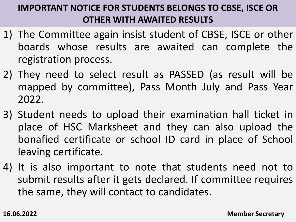## **IMPORTANT NOTICE FOR STUDENTS BELONGS TO CBSE, ISCE OR OTHER WITH AWAITED RESULTS**

- 1) The Committee again insist student of CBSE, ISCE or other boards whose results are awaited can complete the registration process.
- 2) They need to select result as PASSED (as result will be mapped by committee), Pass Month July and Pass Year 2022.
- 3) Student needs to upload their examination hall ticket in place of HSC Marksheet and they can also upload the bonafied certificate or school ID card in place of School leaving certificate.
- 4) It is also important to note that students need not to submit results after it gets declared. If committee requires the same, they will contact to candidates.